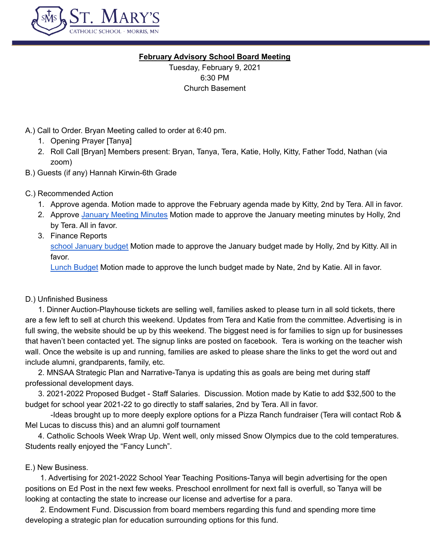

#### **February Advisory School Board Meeting**

Tuesday, February 9, 2021 6:30 PM Church Basement

# A.) Call to Order. Bryan Meeting called to order at 6:40 pm.

- 1. Opening Prayer [Tanya]
- 2. Roll Call [Bryan] Members present: Bryan, Tanya, Tera, Katie, Holly, Kitty, Father Todd, Nathan (via zoom)
- B.) Guests (if any) Hannah Kirwin-6th Grade

# C.) Recommended Action

- 1. Approve agenda. Motion made to approve the February agenda made by Kitty, 2nd by Tera. All in favor.
- 2. Approve January [Meeting](https://docs.google.com/document/d/1msz9ER8DQTQ83BwD-owXLEuTUsFoLWvp9c9iiEjHf3E/edit) Minutes Motion made to approve the January meeting minutes by Holly, 2nd by Tera. All in favor.
- 3. Finance Reports school [January](https://docs.google.com/spreadsheets/d/1hQSfmjJgyLD_9VhqUss_j2uehVIZONop/edit#gid=1857898792) budget Motion made to approve the January budget made by Holly, 2nd by Kitty. All in favor.

Lunch [Budget](https://docs.google.com/spreadsheets/d/1wr3rBGMPSfIMzcMauMDwMrLc1TWd3yvQ/edit#gid=1701901152) Motion made to approve the lunch budget made by Nate, 2nd by Katie. All in favor.

### D.) Unfinished Business

1. Dinner Auction-Playhouse tickets are selling well, families asked to please turn in all sold tickets, there are a few left to sell at church this weekend. Updates from Tera and Katie from the committee. Advertising is in full swing, the website should be up by this weekend. The biggest need is for families to sign up for businesses that haven't been contacted yet. The signup links are posted on facebook. Tera is working on the teacher wish wall. Once the website is up and running, families are asked to please share the links to get the word out and include alumni, grandparents, family, etc.

2. MNSAA Strategic Plan and Narrative-Tanya is updating this as goals are being met during staff professional development days.

3. 2021-2022 Proposed Budget - Staff Salaries. Discussion. Motion made by Katie to add \$32,500 to the budget for school year 2021-22 to go directly to staff salaries, 2nd by Tera. All in favor.

-Ideas brought up to more deeply explore options for a Pizza Ranch fundraiser (Tera will contact Rob & Mel Lucas to discuss this) and an alumni golf tournament

4. Catholic Schools Week Wrap Up. Went well, only missed Snow Olympics due to the cold temperatures. Students really enjoyed the "Fancy Lunch".

### E.) New Business.

1. Advertising for 2021-2022 School Year Teaching Positions-Tanya will begin advertising for the open positions on Ed Post in the next few weeks. Preschool enrollment for next fall is overfull, so Tanya will be looking at contacting the state to increase our license and advertise for a para.

2. Endowment Fund. Discussion from board members regarding this fund and spending more time developing a strategic plan for education surrounding options for this fund.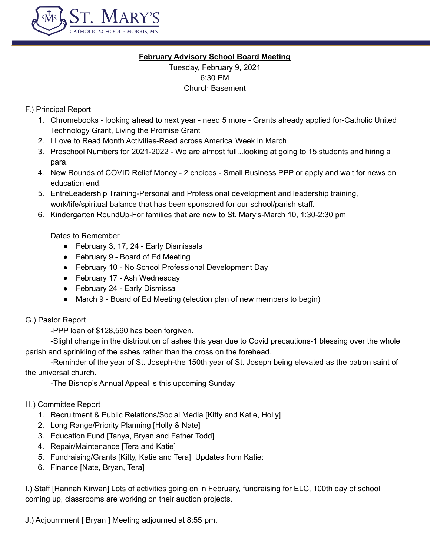

# **February Advisory School Board Meeting**

Tuesday, February 9, 2021 6:30 PM Church Basement

# F.) Principal Report

- 1. Chromebooks looking ahead to next year need 5 more Grants already applied for-Catholic United Technology Grant, Living the Promise Grant
- 2. I Love to Read Month Activities-Read across America Week in March
- 3. Preschool Numbers for 2021-2022 We are almost full...looking at going to 15 students and hiring a para.
- 4. New Rounds of COVID Relief Money 2 choices Small Business PPP or apply and wait for news on education end.
- 5. EntreLeadership Training-Personal and Professional development and leadership training, work/life/spiritual balance that has been sponsored for our school/parish staff.
- 6. Kindergarten RoundUp-For families that are new to St. Mary's-March 10, 1:30-2:30 pm

### Dates to Remember

- February 3, 17, 24 Early Dismissals
- February 9 Board of Ed Meeting
- February 10 No School Professional Development Day
- February 17 Ash Wednesday
- February 24 Early Dismissal
- March 9 Board of Ed Meeting (election plan of new members to begin)

### G.) Pastor Report

-PPP loan of \$128,590 has been forgiven.

-Slight change in the distribution of ashes this year due to Covid precautions-1 blessing over the whole parish and sprinkling of the ashes rather than the cross on the forehead.

-Reminder of the year of St. Joseph-the 150th year of St. Joseph being elevated as the patron saint of the universal church.

-The Bishop's Annual Appeal is this upcoming Sunday

### H.) Committee Report

- 1. Recruitment & Public Relations/Social Media [Kitty and Katie, Holly]
- 2. Long Range/Priority Planning [Holly & Nate]
- 3. Education Fund [Tanya, Bryan and Father Todd]
- 4. Repair/Maintenance [Tera and Katie]
- 5. Fundraising/Grants [Kitty, Katie and Tera] Updates from Katie:
- 6. Finance [Nate, Bryan, Tera]

I.) Staff [Hannah Kirwan] Lots of activities going on in February, fundraising for ELC, 100th day of school coming up, classrooms are working on their auction projects.

J.) Adjournment [ Bryan ] Meeting adjourned at 8:55 pm.